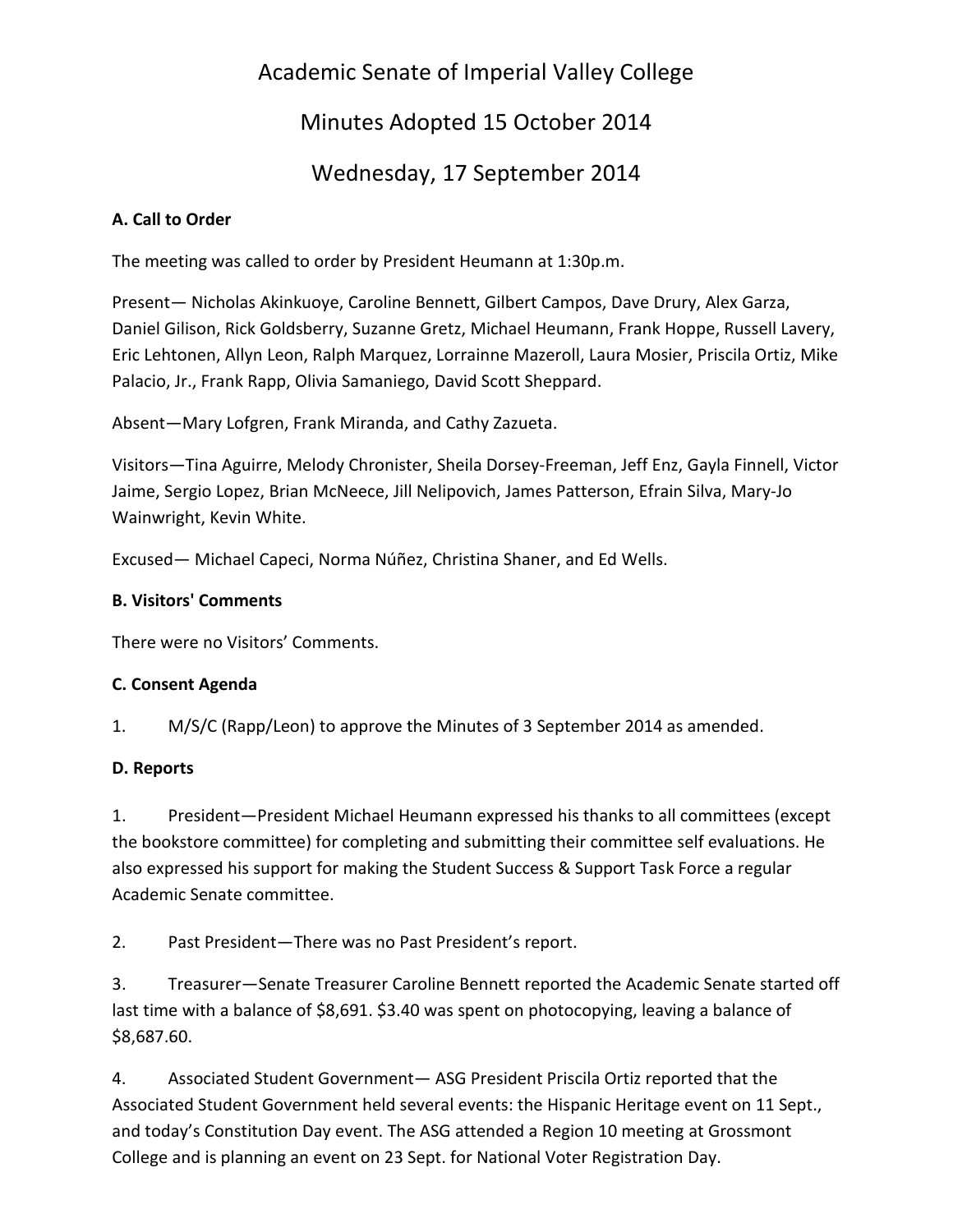# Academic Senate of Imperial Valley College

# Minutes Adopted 15 October 2014

## Wednesday, 17 September 2014

## **A. Call to Order**

The meeting was called to order by President Heumann at 1:30p.m.

Present— Nicholas Akinkuoye, Caroline Bennett, Gilbert Campos, Dave Drury, Alex Garza, Daniel Gilison, Rick Goldsberry, Suzanne Gretz, Michael Heumann, Frank Hoppe, Russell Lavery, Eric Lehtonen, Allyn Leon, Ralph Marquez, Lorrainne Mazeroll, Laura Mosier, Priscila Ortiz, Mike Palacio, Jr., Frank Rapp, Olivia Samaniego, David Scott Sheppard.

Absent—Mary Lofgren, Frank Miranda, and Cathy Zazueta.

Visitors—Tina Aguirre, Melody Chronister, Sheila Dorsey-Freeman, Jeff Enz, Gayla Finnell, Victor Jaime, Sergio Lopez, Brian McNeece, Jill Nelipovich, James Patterson, Efrain Silva, Mary-Jo Wainwright, Kevin White.

Excused— Michael Capeci, Norma Núñez, Christina Shaner, and Ed Wells.

## **B. Visitors' Comments**

There were no Visitors' Comments.

## **C. Consent Agenda**

1. M/S/C (Rapp/Leon) to approve the Minutes of 3 September 2014 as amended.

## **D. Reports**

1. President—President Michael Heumann expressed his thanks to all committees (except the bookstore committee) for completing and submitting their committee self evaluations. He also expressed his support for making the Student Success & Support Task Force a regular Academic Senate committee.

2. Past President—There was no Past President's report.

3. Treasurer—Senate Treasurer Caroline Bennett reported the Academic Senate started off last time with a balance of \$8,691. \$3.40 was spent on photocopying, leaving a balance of \$8,687.60.

4. Associated Student Government— ASG President Priscila Ortiz reported that the Associated Student Government held several events: the Hispanic Heritage event on 11 Sept., and today's Constitution Day event. The ASG attended a Region 10 meeting at Grossmont College and is planning an event on 23 Sept. for National Voter Registration Day.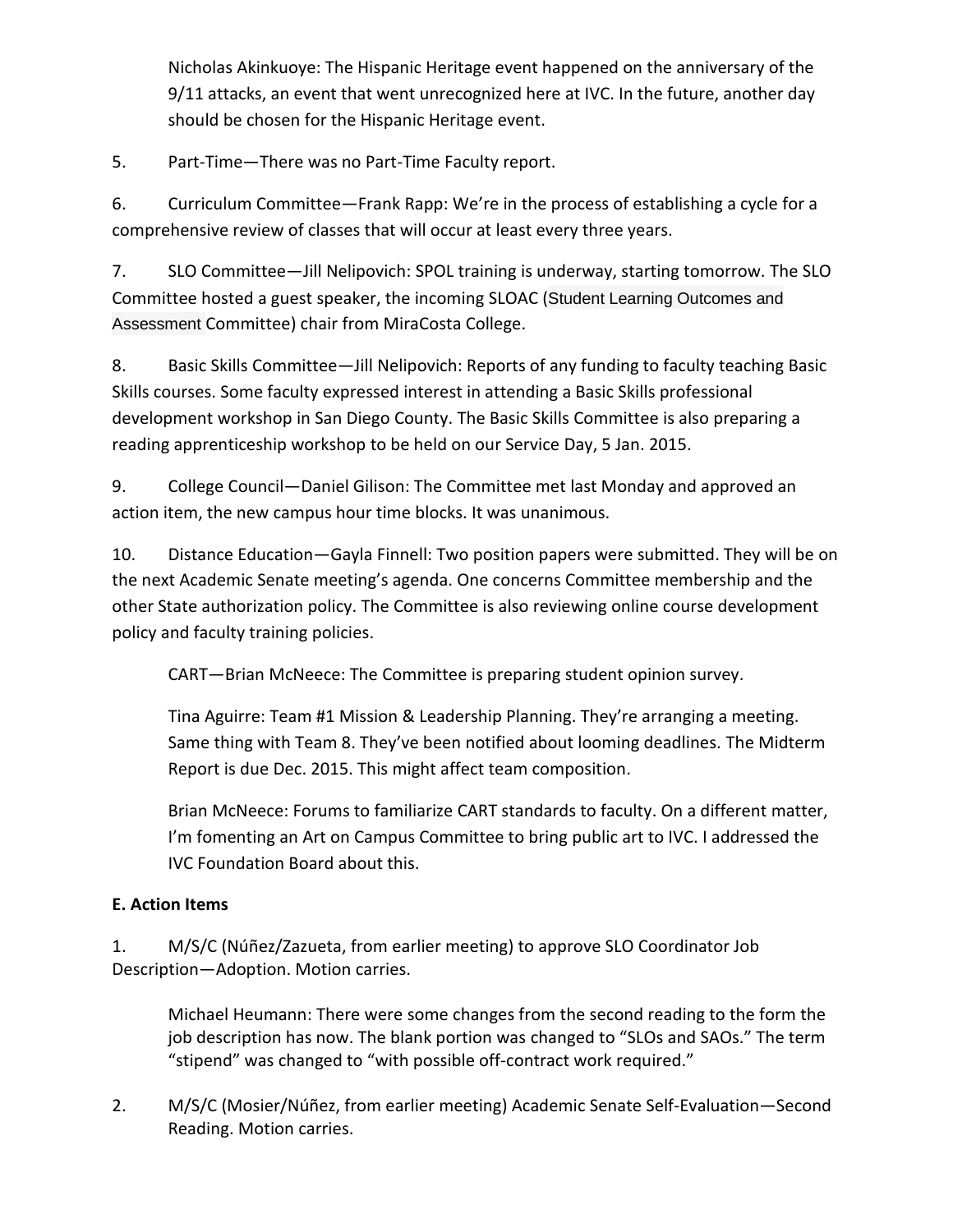Nicholas Akinkuoye: The Hispanic Heritage event happened on the anniversary of the 9/11 attacks, an event that went unrecognized here at IVC. In the future, another day should be chosen for the Hispanic Heritage event.

5. Part-Time—There was no Part-Time Faculty report.

6. Curriculum Committee—Frank Rapp: We're in the process of establishing a cycle for a comprehensive review of classes that will occur at least every three years.

7. SLO Committee—Jill Nelipovich: SPOL training is underway, starting tomorrow. The SLO Committee hosted a guest speaker, the incoming SLOAC (Student Learning Outcomes and Assessment Committee) chair from MiraCosta College.

8. Basic Skills Committee—Jill Nelipovich: Reports of any funding to faculty teaching Basic Skills courses. Some faculty expressed interest in attending a Basic Skills professional development workshop in San Diego County. The Basic Skills Committee is also preparing a reading apprenticeship workshop to be held on our Service Day, 5 Jan. 2015.

9. College Council—Daniel Gilison: The Committee met last Monday and approved an action item, the new campus hour time blocks. It was unanimous.

10. Distance Education—Gayla Finnell: Two position papers were submitted. They will be on the next Academic Senate meeting's agenda. One concerns Committee membership and the other State authorization policy. The Committee is also reviewing online course development policy and faculty training policies.

CART—Brian McNeece: The Committee is preparing student opinion survey.

Tina Aguirre: Team #1 Mission & Leadership Planning. They're arranging a meeting. Same thing with Team 8. They've been notified about looming deadlines. The Midterm Report is due Dec. 2015. This might affect team composition.

Brian McNeece: Forums to familiarize CART standards to faculty. On a different matter, I'm fomenting an Art on Campus Committee to bring public art to IVC. I addressed the IVC Foundation Board about this.

## **E. Action Items**

1. M/S/C (Núñez/Zazueta, from earlier meeting) to approve SLO Coordinator Job Description—Adoption. Motion carries.

Michael Heumann: There were some changes from the second reading to the form the job description has now. The blank portion was changed to "SLOs and SAOs." The term "stipend" was changed to "with possible off-contract work required."

2. M/S/C (Mosier/Núñez, from earlier meeting) Academic Senate Self-Evaluation—Second Reading. Motion carries.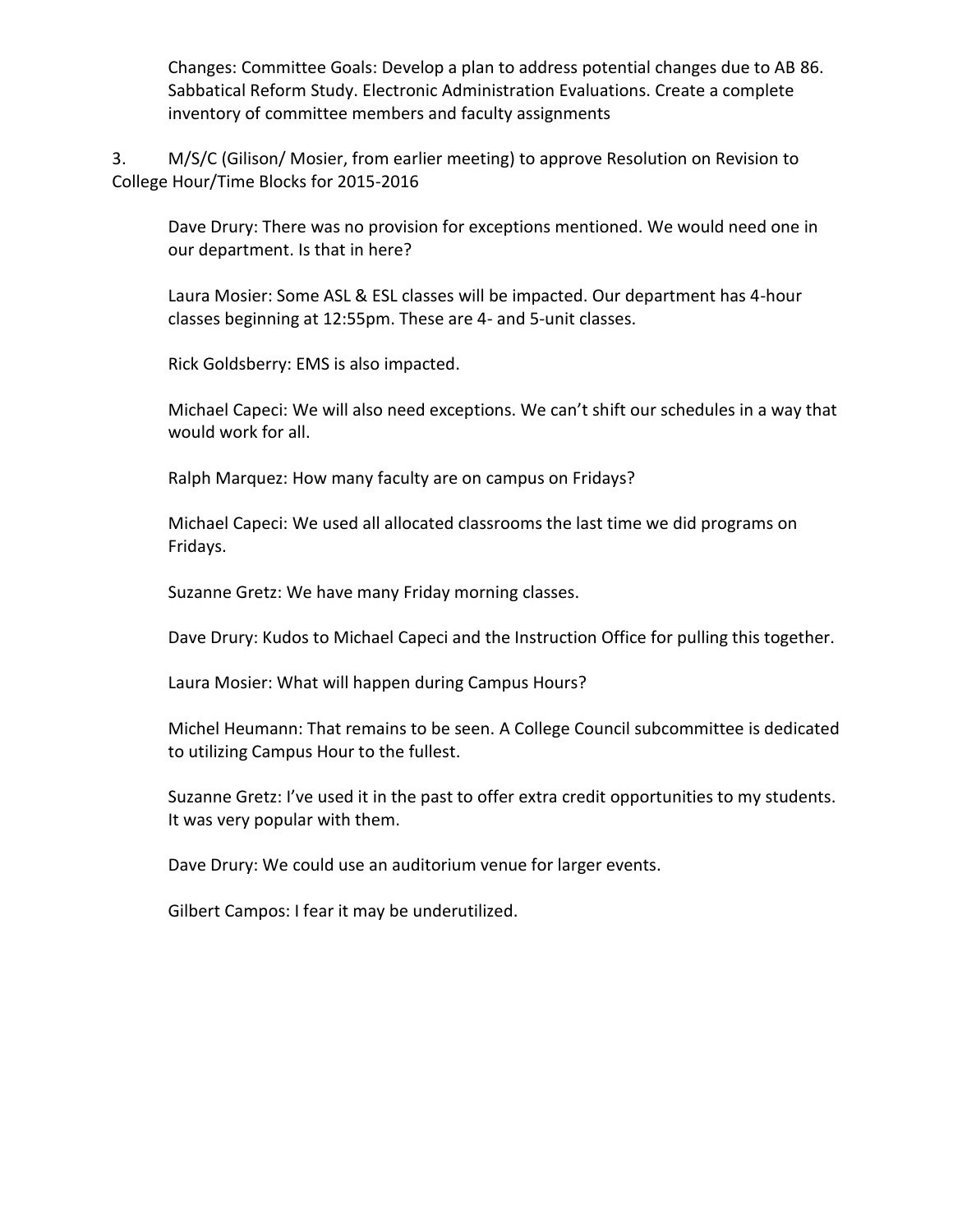Changes: Committee Goals: Develop a plan to address potential changes due to AB 86. Sabbatical Reform Study. Electronic Administration Evaluations. Create a complete inventory of committee members and faculty assignments

3. M/S/C (Gilison/ Mosier, from earlier meeting) to approve Resolution on Revision to College Hour/Time Blocks for 2015-2016

Dave Drury: There was no provision for exceptions mentioned. We would need one in our department. Is that in here?

Laura Mosier: Some ASL & ESL classes will be impacted. Our department has 4-hour classes beginning at 12:55pm. These are 4- and 5-unit classes.

Rick Goldsberry: EMS is also impacted.

Michael Capeci: We will also need exceptions. We can't shift our schedules in a way that would work for all.

Ralph Marquez: How many faculty are on campus on Fridays?

Michael Capeci: We used all allocated classrooms the last time we did programs on Fridays.

Suzanne Gretz: We have many Friday morning classes.

Dave Drury: Kudos to Michael Capeci and the Instruction Office for pulling this together.

Laura Mosier: What will happen during Campus Hours?

Michel Heumann: That remains to be seen. A College Council subcommittee is dedicated to utilizing Campus Hour to the fullest.

Suzanne Gretz: I've used it in the past to offer extra credit opportunities to my students. It was very popular with them.

Dave Drury: We could use an auditorium venue for larger events.

Gilbert Campos: I fear it may be underutilized.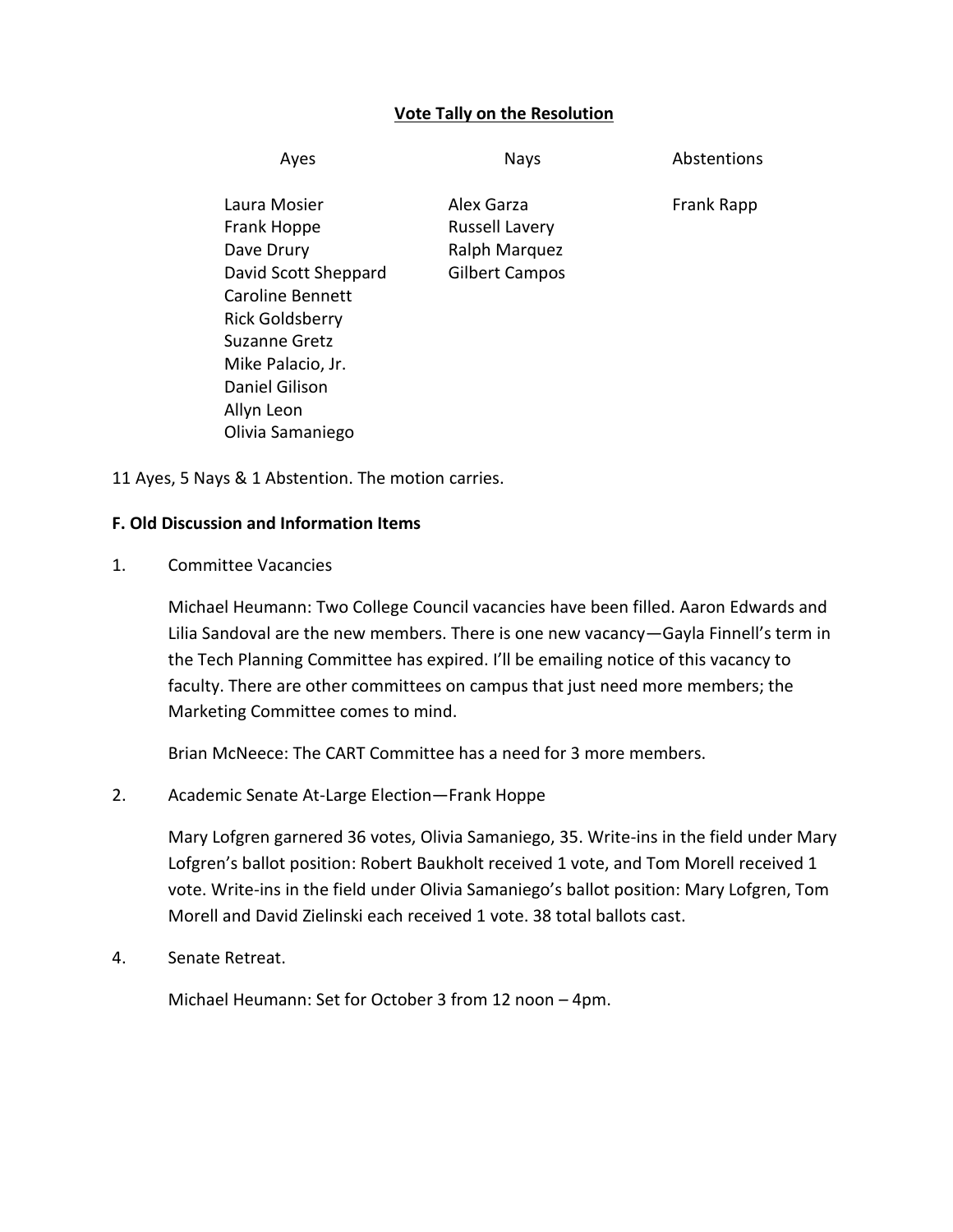### **Vote Tally on the Resolution**

| <b>Nays</b>                         | Abstentions   |
|-------------------------------------|---------------|
| Alex Garza<br><b>Russell Lavery</b> | Frank Rapp    |
| <b>Gilbert Campos</b>               |               |
|                                     |               |
|                                     |               |
|                                     |               |
|                                     |               |
|                                     |               |
|                                     | Ralph Marquez |

11 Ayes, 5 Nays & 1 Abstention. The motion carries.

#### **F. Old Discussion and Information Items**

1. Committee Vacancies

Michael Heumann: Two College Council vacancies have been filled. Aaron Edwards and Lilia Sandoval are the new members. There is one new vacancy—Gayla Finnell's term in the Tech Planning Committee has expired. I'll be emailing notice of this vacancy to faculty. There are other committees on campus that just need more members; the Marketing Committee comes to mind.

Brian McNeece: The CART Committee has a need for 3 more members.

### 2. Academic Senate At-Large Election—Frank Hoppe

Mary Lofgren garnered 36 votes, Olivia Samaniego, 35. Write-ins in the field under Mary Lofgren's ballot position: Robert Baukholt received 1 vote, and Tom Morell received 1 vote. Write-ins in the field under Olivia Samaniego's ballot position: Mary Lofgren, Tom Morell and David Zielinski each received 1 vote. 38 total ballots cast.

4. Senate Retreat.

Michael Heumann: Set for October 3 from 12 noon – 4pm.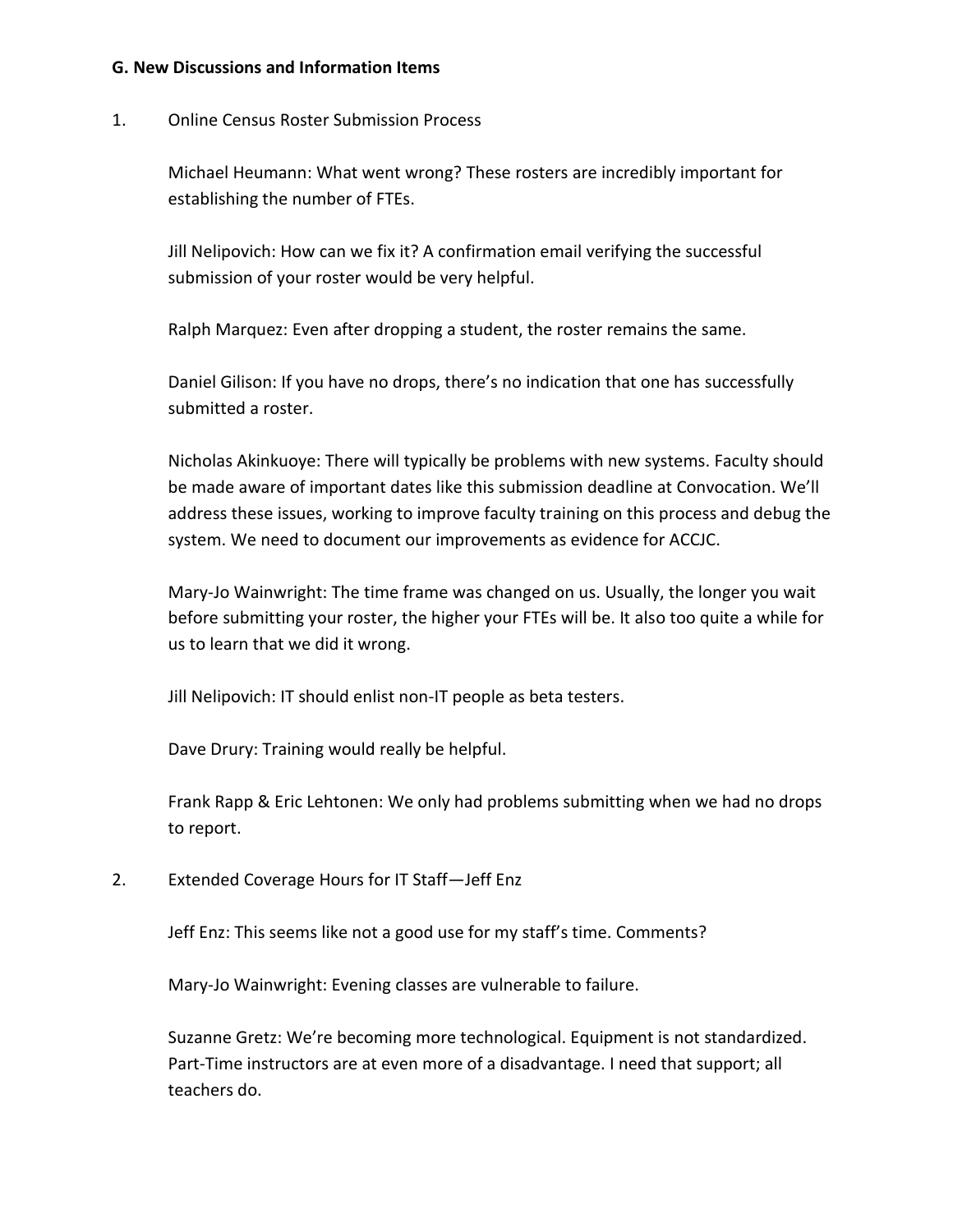#### **G. New Discussions and Information Items**

#### 1. Online Census Roster Submission Process

Michael Heumann: What went wrong? These rosters are incredibly important for establishing the number of FTEs.

Jill Nelipovich: How can we fix it? A confirmation email verifying the successful submission of your roster would be very helpful.

Ralph Marquez: Even after dropping a student, the roster remains the same.

Daniel Gilison: If you have no drops, there's no indication that one has successfully submitted a roster.

Nicholas Akinkuoye: There will typically be problems with new systems. Faculty should be made aware of important dates like this submission deadline at Convocation. We'll address these issues, working to improve faculty training on this process and debug the system. We need to document our improvements as evidence for ACCJC.

Mary-Jo Wainwright: The time frame was changed on us. Usually, the longer you wait before submitting your roster, the higher your FTEs will be. It also too quite a while for us to learn that we did it wrong.

Jill Nelipovich: IT should enlist non-IT people as beta testers.

Dave Drury: Training would really be helpful.

Frank Rapp & Eric Lehtonen: We only had problems submitting when we had no drops to report.

2. Extended Coverage Hours for IT Staff—Jeff Enz

Jeff Enz: This seems like not a good use for my staff's time. Comments?

Mary-Jo Wainwright: Evening classes are vulnerable to failure.

Suzanne Gretz: We're becoming more technological. Equipment is not standardized. Part-Time instructors are at even more of a disadvantage. I need that support; all teachers do.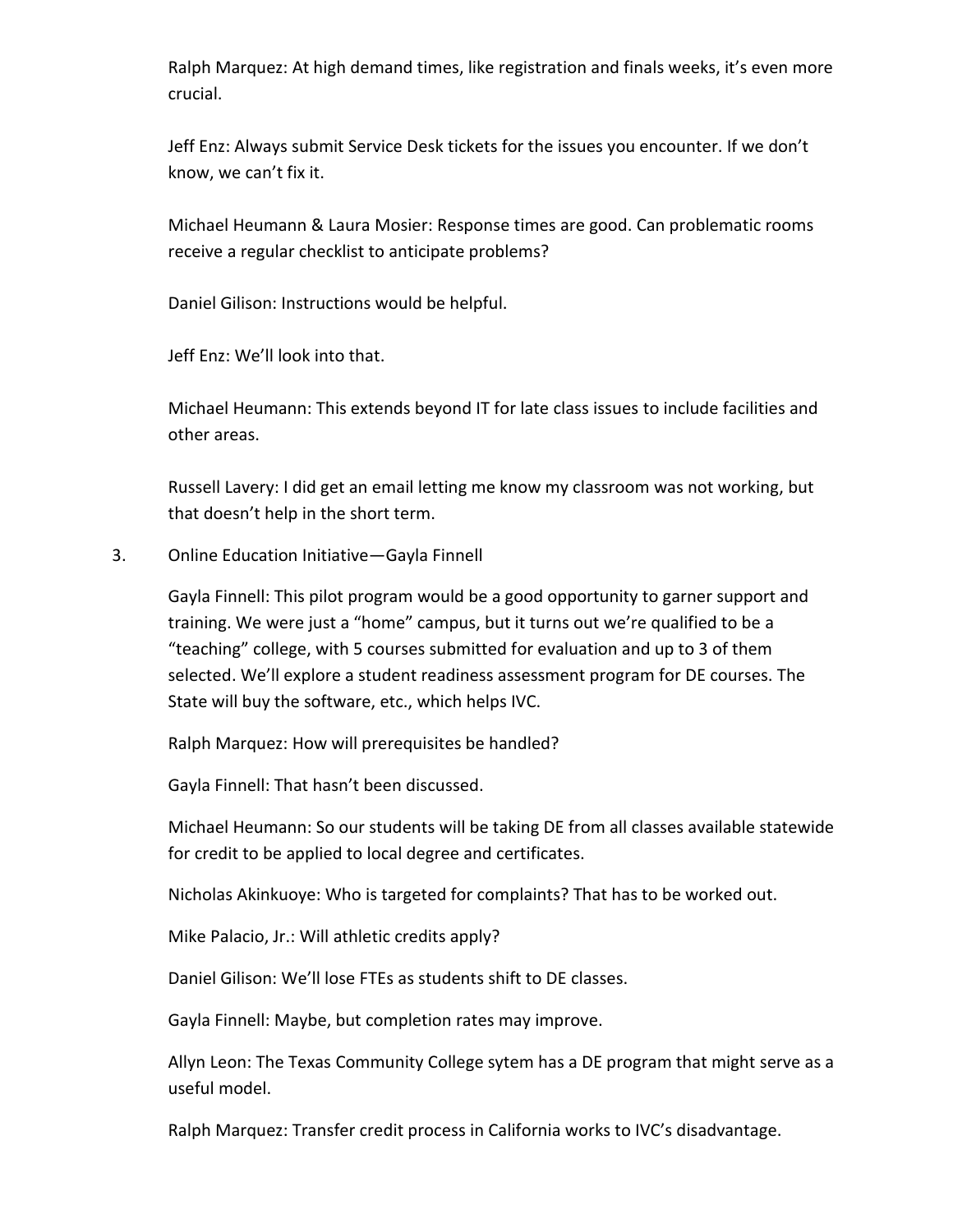Ralph Marquez: At high demand times, like registration and finals weeks, it's even more crucial.

Jeff Enz: Always submit Service Desk tickets for the issues you encounter. If we don't know, we can't fix it.

Michael Heumann & Laura Mosier: Response times are good. Can problematic rooms receive a regular checklist to anticipate problems?

Daniel Gilison: Instructions would be helpful.

Jeff Enz: We'll look into that.

Michael Heumann: This extends beyond IT for late class issues to include facilities and other areas.

Russell Lavery: I did get an email letting me know my classroom was not working, but that doesn't help in the short term.

3. Online Education Initiative—Gayla Finnell

Gayla Finnell: This pilot program would be a good opportunity to garner support and training. We were just a "home" campus, but it turns out we're qualified to be a "teaching" college, with 5 courses submitted for evaluation and up to 3 of them selected. We'll explore a student readiness assessment program for DE courses. The State will buy the software, etc., which helps IVC.

Ralph Marquez: How will prerequisites be handled?

Gayla Finnell: That hasn't been discussed.

Michael Heumann: So our students will be taking DE from all classes available statewide for credit to be applied to local degree and certificates.

Nicholas Akinkuoye: Who is targeted for complaints? That has to be worked out.

Mike Palacio, Jr.: Will athletic credits apply?

Daniel Gilison: We'll lose FTEs as students shift to DE classes.

Gayla Finnell: Maybe, but completion rates may improve.

Allyn Leon: The Texas Community College sytem has a DE program that might serve as a useful model.

Ralph Marquez: Transfer credit process in California works to IVC's disadvantage.